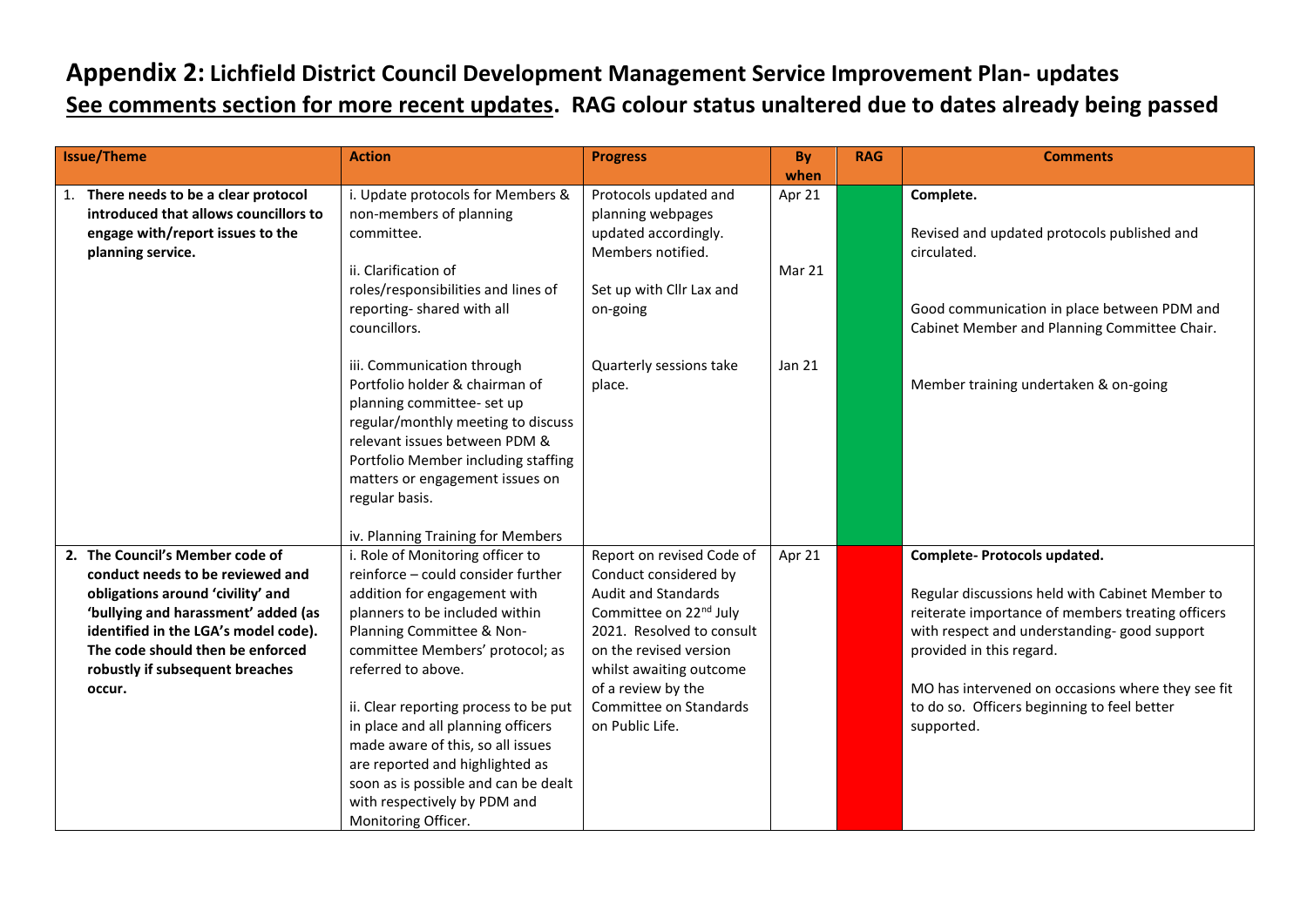## **Appendix 2: Lichfield District Council Development Management Service Improvement Plan- updates See comments section for more recent updates. RAG colour status unaltered due to dates already being passed**

| <b>Issue/Theme</b>                                                                                                                                                                                                                                                       | <b>Action</b>                                                                                                                                                                                                                                                                                                                                                                                                                                                                        | <b>Progress</b>                                                                                                                                                                                                                                                             | By<br>when       | <b>RAG</b> | <b>Comments</b>                                                                                                                                                                                                                                                                                                                   |
|--------------------------------------------------------------------------------------------------------------------------------------------------------------------------------------------------------------------------------------------------------------------------|--------------------------------------------------------------------------------------------------------------------------------------------------------------------------------------------------------------------------------------------------------------------------------------------------------------------------------------------------------------------------------------------------------------------------------------------------------------------------------------|-----------------------------------------------------------------------------------------------------------------------------------------------------------------------------------------------------------------------------------------------------------------------------|------------------|------------|-----------------------------------------------------------------------------------------------------------------------------------------------------------------------------------------------------------------------------------------------------------------------------------------------------------------------------------|
| 1. There needs to be a clear protocol<br>introduced that allows councillors to<br>engage with/report issues to the<br>planning service.                                                                                                                                  | i. Update protocols for Members &<br>non-members of planning<br>committee.<br>ii. Clarification of<br>roles/responsibilities and lines of<br>reporting-shared with all<br>councillors.                                                                                                                                                                                                                                                                                               | Protocols updated and<br>planning webpages<br>updated accordingly.<br>Members notified.<br>Set up with Cllr Lax and<br>on-going                                                                                                                                             | Apr 21<br>Mar 21 |            | Complete.<br>Revised and updated protocols published and<br>circulated.<br>Good communication in place between PDM and<br>Cabinet Member and Planning Committee Chair.                                                                                                                                                            |
|                                                                                                                                                                                                                                                                          | iii. Communication through<br>Portfolio holder & chairman of<br>planning committee- set up<br>regular/monthly meeting to discuss<br>relevant issues between PDM &<br>Portfolio Member including staffing<br>matters or engagement issues on<br>regular basis.<br>iv. Planning Training for Members                                                                                                                                                                                   | Quarterly sessions take<br>place.                                                                                                                                                                                                                                           | Jan 21           |            | Member training undertaken & on-going                                                                                                                                                                                                                                                                                             |
| 2. The Council's Member code of<br>conduct needs to be reviewed and<br>obligations around 'civility' and<br>'bullying and harassment' added (as<br>identified in the LGA's model code).<br>The code should then be enforced<br>robustly if subsequent breaches<br>occur. | i. Role of Monitoring officer to<br>reinforce - could consider further<br>addition for engagement with<br>planners to be included within<br>Planning Committee & Non-<br>committee Members' protocol; as<br>referred to above.<br>ii. Clear reporting process to be put<br>in place and all planning officers<br>made aware of this, so all issues<br>are reported and highlighted as<br>soon as is possible and can be dealt<br>with respectively by PDM and<br>Monitoring Officer. | Report on revised Code of<br>Conduct considered by<br><b>Audit and Standards</b><br>Committee on 22 <sup>nd</sup> July<br>2021. Resolved to consult<br>on the revised version<br>whilst awaiting outcome<br>of a review by the<br>Committee on Standards<br>on Public Life. | Apr 21           |            | Complete- Protocols updated.<br>Regular discussions held with Cabinet Member to<br>reiterate importance of members treating officers<br>with respect and understanding-good support<br>provided in this regard.<br>MO has intervened on occasions where they see fit<br>to do so. Officers beginning to feel better<br>supported. |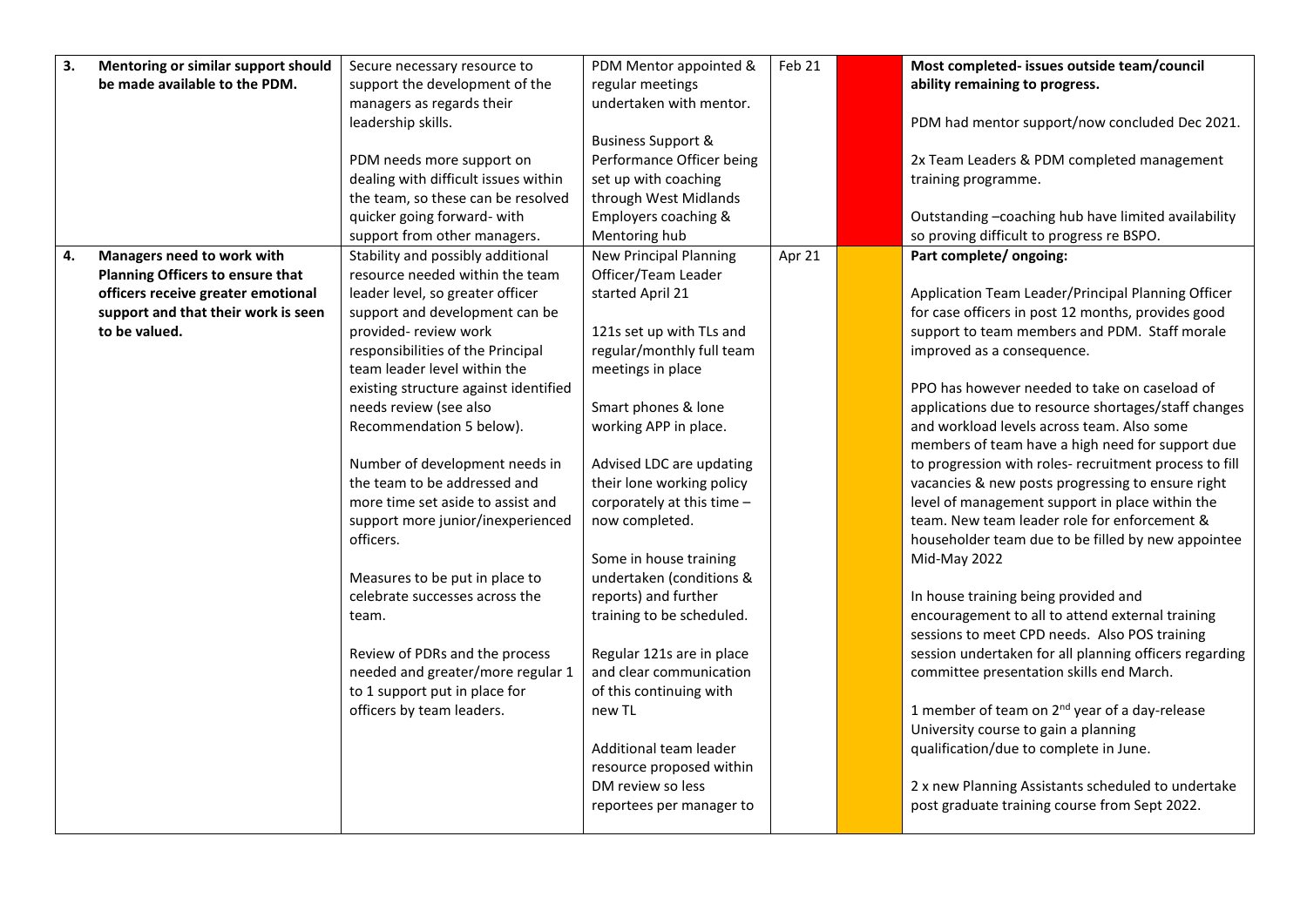| 3. | Mentoring or similar support should | Secure necessary resource to          | PDM Mentor appointed &        | Feb 21 | Most completed- issues outside team/council               |
|----|-------------------------------------|---------------------------------------|-------------------------------|--------|-----------------------------------------------------------|
|    | be made available to the PDM.       | support the development of the        | regular meetings              |        | ability remaining to progress.                            |
|    |                                     | managers as regards their             | undertaken with mentor.       |        |                                                           |
|    |                                     | leadership skills.                    |                               |        | PDM had mentor support/now concluded Dec 2021.            |
|    |                                     |                                       | <b>Business Support &amp;</b> |        |                                                           |
|    |                                     | PDM needs more support on             | Performance Officer being     |        | 2x Team Leaders & PDM completed management                |
|    |                                     | dealing with difficult issues within  | set up with coaching          |        | training programme.                                       |
|    |                                     | the team, so these can be resolved    | through West Midlands         |        |                                                           |
|    |                                     | quicker going forward- with           | Employers coaching &          |        | Outstanding -coaching hub have limited availability       |
|    |                                     | support from other managers.          | Mentoring hub                 |        | so proving difficult to progress re BSPO.                 |
| 4. | Managers need to work with          | Stability and possibly additional     | <b>New Principal Planning</b> | Apr 21 | Part complete/ ongoing:                                   |
|    | Planning Officers to ensure that    | resource needed within the team       | Officer/Team Leader           |        |                                                           |
|    | officers receive greater emotional  | leader level, so greater officer      | started April 21              |        | Application Team Leader/Principal Planning Officer        |
|    | support and that their work is seen | support and development can be        |                               |        | for case officers in post 12 months, provides good        |
|    | to be valued.                       | provided- review work                 | 121s set up with TLs and      |        | support to team members and PDM. Staff morale             |
|    |                                     | responsibilities of the Principal     | regular/monthly full team     |        | improved as a consequence.                                |
|    |                                     | team leader level within the          | meetings in place             |        |                                                           |
|    |                                     | existing structure against identified |                               |        | PPO has however needed to take on caseload of             |
|    |                                     | needs review (see also                | Smart phones & lone           |        | applications due to resource shortages/staff changes      |
|    |                                     | Recommendation 5 below).              | working APP in place.         |        | and workload levels across team. Also some                |
|    |                                     |                                       |                               |        | members of team have a high need for support due          |
|    |                                     | Number of development needs in        | Advised LDC are updating      |        | to progression with roles- recruitment process to fill    |
|    |                                     | the team to be addressed and          | their lone working policy     |        | vacancies & new posts progressing to ensure right         |
|    |                                     | more time set aside to assist and     | corporately at this time -    |        | level of management support in place within the           |
|    |                                     | support more junior/inexperienced     | now completed.                |        | team. New team leader role for enforcement &              |
|    |                                     | officers.                             |                               |        | householder team due to be filled by new appointee        |
|    |                                     |                                       | Some in house training        |        | Mid-May 2022                                              |
|    |                                     | Measures to be put in place to        | undertaken (conditions &      |        |                                                           |
|    |                                     | celebrate successes across the        | reports) and further          |        | In house training being provided and                      |
|    |                                     | team.                                 | training to be scheduled.     |        | encouragement to all to attend external training          |
|    |                                     |                                       |                               |        | sessions to meet CPD needs. Also POS training             |
|    |                                     | Review of PDRs and the process        | Regular 121s are in place     |        | session undertaken for all planning officers regarding    |
|    |                                     | needed and greater/more regular 1     | and clear communication       |        | committee presentation skills end March.                  |
|    |                                     | to 1 support put in place for         | of this continuing with       |        |                                                           |
|    |                                     | officers by team leaders.             | new TL                        |        | 1 member of team on 2 <sup>nd</sup> year of a day-release |
|    |                                     |                                       |                               |        | University course to gain a planning                      |
|    |                                     |                                       | Additional team leader        |        | qualification/due to complete in June.                    |
|    |                                     |                                       | resource proposed within      |        |                                                           |
|    |                                     |                                       | DM review so less             |        | 2 x new Planning Assistants scheduled to undertake        |
|    |                                     |                                       | reportees per manager to      |        | post graduate training course from Sept 2022.             |
|    |                                     |                                       |                               |        |                                                           |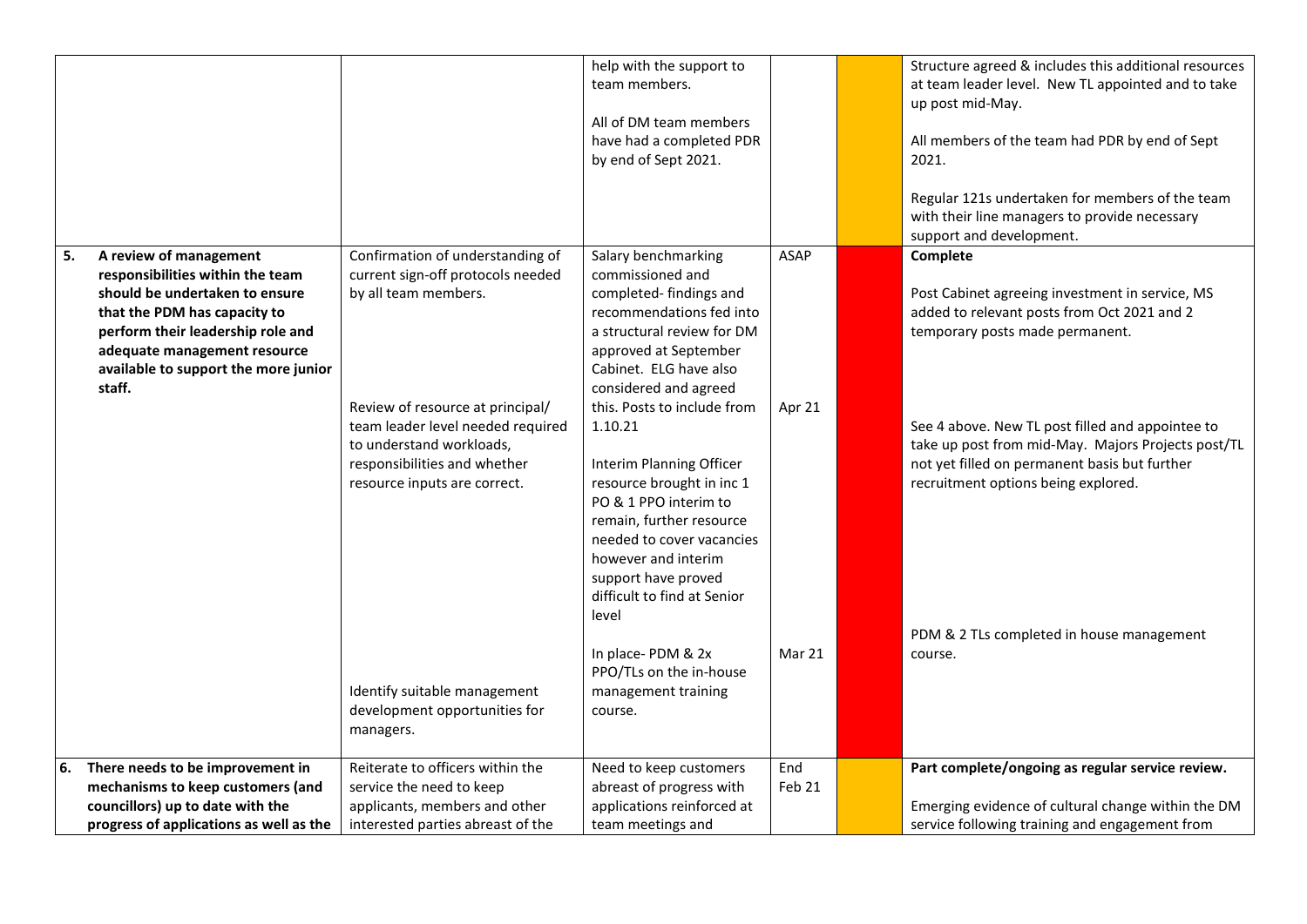|    |                                                                                                                                                                                                                                                     |                                                                                                                                                                                                                                                                                                                                                  | help with the support to<br>team members.<br>All of DM team members<br>have had a completed PDR<br>by end of Sept 2021.                                                                                                                                                                                                                                                                                                                                                                                                                                              |                                 | Structure agreed & includes this additional resources<br>at team leader level. New TL appointed and to take<br>up post mid-May.<br>All members of the team had PDR by end of Sept<br>2021.<br>Regular 121s undertaken for members of the team<br>with their line managers to provide necessary<br>support and development.                                                                              |
|----|-----------------------------------------------------------------------------------------------------------------------------------------------------------------------------------------------------------------------------------------------------|--------------------------------------------------------------------------------------------------------------------------------------------------------------------------------------------------------------------------------------------------------------------------------------------------------------------------------------------------|----------------------------------------------------------------------------------------------------------------------------------------------------------------------------------------------------------------------------------------------------------------------------------------------------------------------------------------------------------------------------------------------------------------------------------------------------------------------------------------------------------------------------------------------------------------------|---------------------------------|---------------------------------------------------------------------------------------------------------------------------------------------------------------------------------------------------------------------------------------------------------------------------------------------------------------------------------------------------------------------------------------------------------|
| 5. | A review of management<br>responsibilities within the team<br>should be undertaken to ensure<br>that the PDM has capacity to<br>perform their leadership role and<br>adequate management resource<br>available to support the more junior<br>staff. | Confirmation of understanding of<br>current sign-off protocols needed<br>by all team members.<br>Review of resource at principal/<br>team leader level needed required<br>to understand workloads,<br>responsibilities and whether<br>resource inputs are correct.<br>Identify suitable management<br>development opportunities for<br>managers. | Salary benchmarking<br>commissioned and<br>completed-findings and<br>recommendations fed into<br>a structural review for DM<br>approved at September<br>Cabinet. ELG have also<br>considered and agreed<br>this. Posts to include from<br>1.10.21<br>Interim Planning Officer<br>resource brought in inc 1<br>PO & 1 PPO interim to<br>remain, further resource<br>needed to cover vacancies<br>however and interim<br>support have proved<br>difficult to find at Senior<br>level<br>In place-PDM & 2x<br>PPO/TLs on the in-house<br>management training<br>course. | <b>ASAP</b><br>Apr 21<br>Mar 21 | Complete<br>Post Cabinet agreeing investment in service, MS<br>added to relevant posts from Oct 2021 and 2<br>temporary posts made permanent.<br>See 4 above. New TL post filled and appointee to<br>take up post from mid-May. Majors Projects post/TL<br>not yet filled on permanent basis but further<br>recruitment options being explored.<br>PDM & 2 TLs completed in house management<br>course. |
| 6. | There needs to be improvement in                                                                                                                                                                                                                    | Reiterate to officers within the                                                                                                                                                                                                                                                                                                                 | Need to keep customers                                                                                                                                                                                                                                                                                                                                                                                                                                                                                                                                               | End                             | Part complete/ongoing as regular service review.                                                                                                                                                                                                                                                                                                                                                        |
|    | mechanisms to keep customers (and                                                                                                                                                                                                                   | service the need to keep                                                                                                                                                                                                                                                                                                                         | abreast of progress with                                                                                                                                                                                                                                                                                                                                                                                                                                                                                                                                             | Feb 21                          |                                                                                                                                                                                                                                                                                                                                                                                                         |
|    | councillors) up to date with the                                                                                                                                                                                                                    | applicants, members and other                                                                                                                                                                                                                                                                                                                    | applications reinforced at                                                                                                                                                                                                                                                                                                                                                                                                                                                                                                                                           |                                 | Emerging evidence of cultural change within the DM                                                                                                                                                                                                                                                                                                                                                      |
|    | progress of applications as well as the                                                                                                                                                                                                             | interested parties abreast of the                                                                                                                                                                                                                                                                                                                | team meetings and                                                                                                                                                                                                                                                                                                                                                                                                                                                                                                                                                    |                                 | service following training and engagement from                                                                                                                                                                                                                                                                                                                                                          |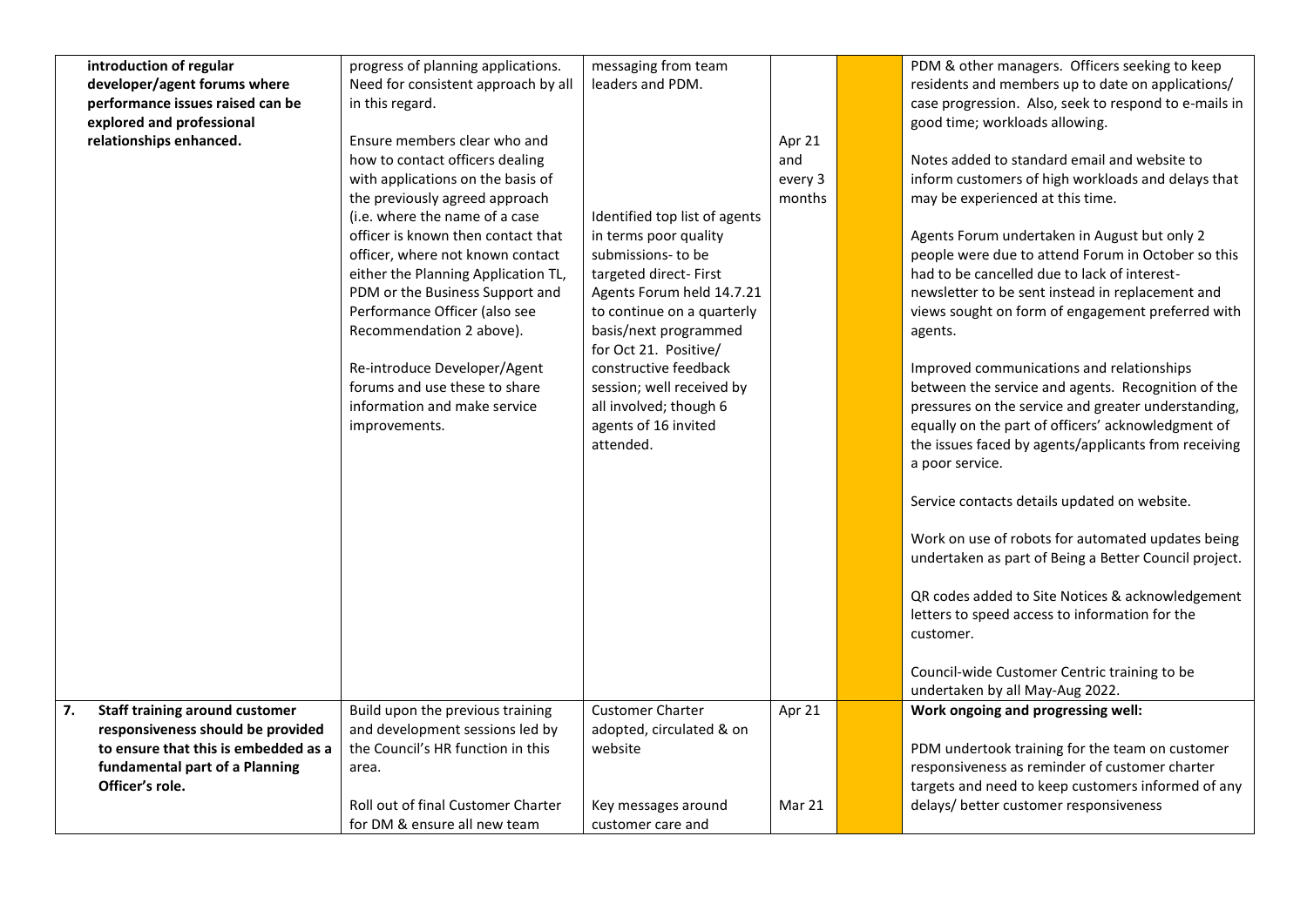|    | introduction of regular               | progress of planning applications.  | messaging from team           |         | PDM & other managers. Officers seeking to keep        |
|----|---------------------------------------|-------------------------------------|-------------------------------|---------|-------------------------------------------------------|
|    | developer/agent forums where          | Need for consistent approach by all | leaders and PDM.              |         | residents and members up to date on applications/     |
|    | performance issues raised can be      | in this regard.                     |                               |         | case progression. Also, seek to respond to e-mails in |
|    | explored and professional             |                                     |                               |         | good time; workloads allowing.                        |
|    | relationships enhanced.               | Ensure members clear who and        |                               | Apr 21  |                                                       |
|    |                                       | how to contact officers dealing     |                               | and     | Notes added to standard email and website to          |
|    |                                       | with applications on the basis of   |                               | every 3 | inform customers of high workloads and delays that    |
|    |                                       | the previously agreed approach      |                               | months  | may be experienced at this time.                      |
|    |                                       | (i.e. where the name of a case      | Identified top list of agents |         |                                                       |
|    |                                       | officer is known then contact that  | in terms poor quality         |         | Agents Forum undertaken in August but only 2          |
|    |                                       | officer, where not known contact    | submissions- to be            |         | people were due to attend Forum in October so this    |
|    |                                       | either the Planning Application TL, | targeted direct-First         |         | had to be cancelled due to lack of interest-          |
|    |                                       | PDM or the Business Support and     | Agents Forum held 14.7.21     |         | newsletter to be sent instead in replacement and      |
|    |                                       | Performance Officer (also see       | to continue on a quarterly    |         | views sought on form of engagement preferred with     |
|    |                                       | Recommendation 2 above).            | basis/next programmed         |         |                                                       |
|    |                                       |                                     | for Oct 21. Positive/         |         | agents.                                               |
|    |                                       |                                     | constructive feedback         |         |                                                       |
|    |                                       | Re-introduce Developer/Agent        |                               |         | Improved communications and relationships             |
|    |                                       | forums and use these to share       | session; well received by     |         | between the service and agents. Recognition of the    |
|    |                                       | information and make service        | all involved; though 6        |         | pressures on the service and greater understanding,   |
|    |                                       | improvements.                       | agents of 16 invited          |         | equally on the part of officers' acknowledgment of    |
|    |                                       |                                     | attended.                     |         | the issues faced by agents/applicants from receiving  |
|    |                                       |                                     |                               |         | a poor service.                                       |
|    |                                       |                                     |                               |         |                                                       |
|    |                                       |                                     |                               |         | Service contacts details updated on website.          |
|    |                                       |                                     |                               |         |                                                       |
|    |                                       |                                     |                               |         | Work on use of robots for automated updates being     |
|    |                                       |                                     |                               |         | undertaken as part of Being a Better Council project. |
|    |                                       |                                     |                               |         | QR codes added to Site Notices & acknowledgement      |
|    |                                       |                                     |                               |         | letters to speed access to information for the        |
|    |                                       |                                     |                               |         |                                                       |
|    |                                       |                                     |                               |         | customer.                                             |
|    |                                       |                                     |                               |         | Council-wide Customer Centric training to be          |
|    |                                       |                                     |                               |         | undertaken by all May-Aug 2022.                       |
| 7. | <b>Staff training around customer</b> | Build upon the previous training    | <b>Customer Charter</b>       | Apr 21  | Work ongoing and progressing well:                    |
|    | responsiveness should be provided     | and development sessions led by     | adopted, circulated & on      |         |                                                       |
|    | to ensure that this is embedded as a  | the Council's HR function in this   | website                       |         | PDM undertook training for the team on customer       |
|    | fundamental part of a Planning        | area.                               |                               |         | responsiveness as reminder of customer charter        |
|    | Officer's role.                       |                                     |                               |         | targets and need to keep customers informed of any    |
|    |                                       | Roll out of final Customer Charter  |                               | Mar 21  | delays/ better customer responsiveness                |
|    |                                       |                                     | Key messages around           |         |                                                       |
|    |                                       | for DM & ensure all new team        | customer care and             |         |                                                       |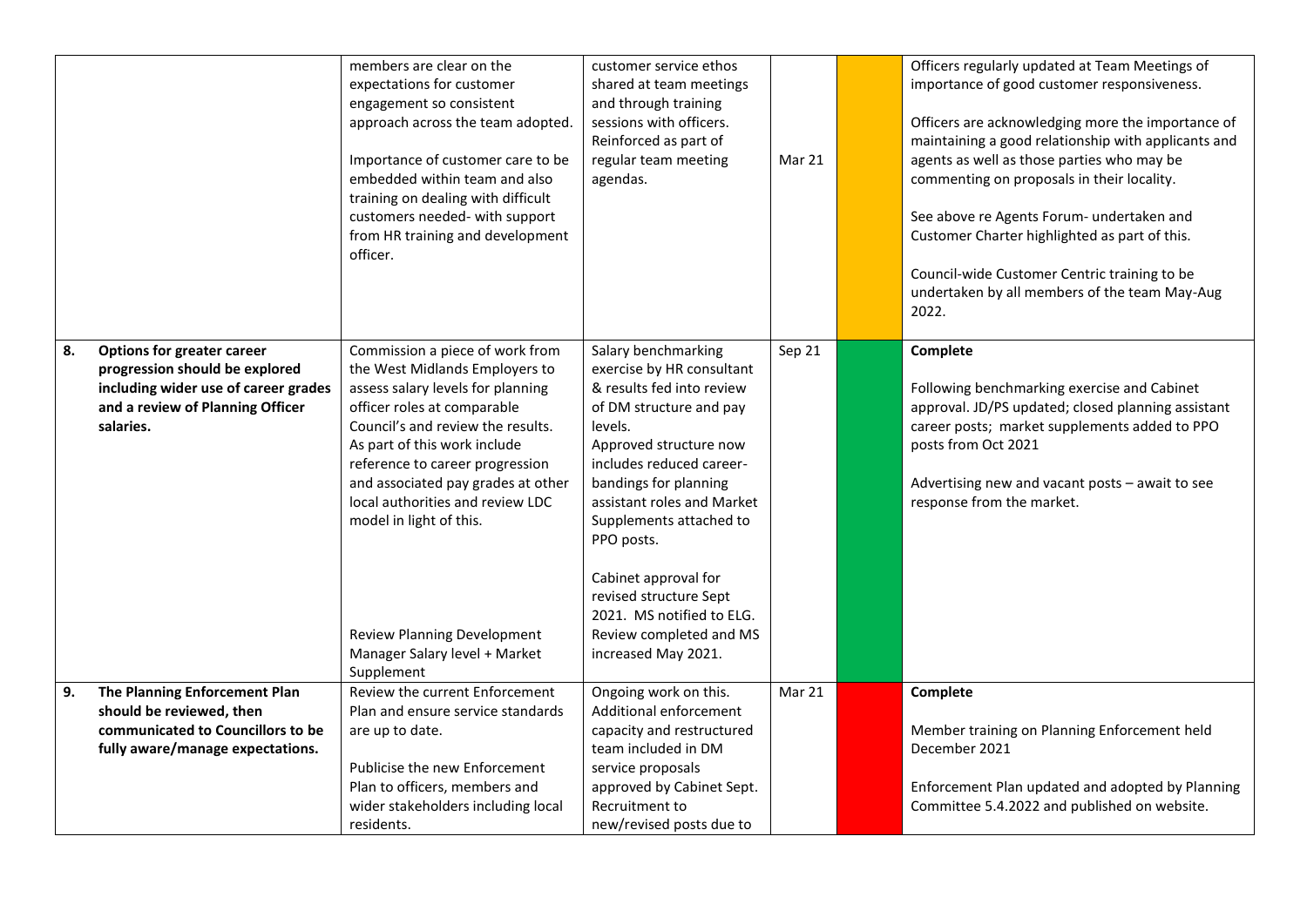|    |                                                                                                                                                              | members are clear on the<br>expectations for customer<br>engagement so consistent<br>approach across the team adopted.<br>Importance of customer care to be<br>embedded within team and also<br>training on dealing with difficult<br>customers needed- with support<br>from HR training and development<br>officer.                                                                                                                    | customer service ethos<br>shared at team meetings<br>and through training<br>sessions with officers.<br>Reinforced as part of<br>regular team meeting<br>agendas.                                                                                                                                                                                                                                          | Mar 21 | Officers regularly updated at Team Meetings of<br>importance of good customer responsiveness.<br>Officers are acknowledging more the importance of<br>maintaining a good relationship with applicants and<br>agents as well as those parties who may be<br>commenting on proposals in their locality.<br>See above re Agents Forum- undertaken and<br>Customer Charter highlighted as part of this.<br>Council-wide Customer Centric training to be<br>undertaken by all members of the team May-Aug<br>2022. |
|----|--------------------------------------------------------------------------------------------------------------------------------------------------------------|-----------------------------------------------------------------------------------------------------------------------------------------------------------------------------------------------------------------------------------------------------------------------------------------------------------------------------------------------------------------------------------------------------------------------------------------|------------------------------------------------------------------------------------------------------------------------------------------------------------------------------------------------------------------------------------------------------------------------------------------------------------------------------------------------------------------------------------------------------------|--------|---------------------------------------------------------------------------------------------------------------------------------------------------------------------------------------------------------------------------------------------------------------------------------------------------------------------------------------------------------------------------------------------------------------------------------------------------------------------------------------------------------------|
| 8. | <b>Options for greater career</b><br>progression should be explored<br>including wider use of career grades<br>and a review of Planning Officer<br>salaries. | Commission a piece of work from<br>the West Midlands Employers to<br>assess salary levels for planning<br>officer roles at comparable<br>Council's and review the results.<br>As part of this work include<br>reference to career progression<br>and associated pay grades at other<br>local authorities and review LDC<br>model in light of this.<br><b>Review Planning Development</b><br>Manager Salary level + Market<br>Supplement | Salary benchmarking<br>exercise by HR consultant<br>& results fed into review<br>of DM structure and pay<br>levels.<br>Approved structure now<br>includes reduced career-<br>bandings for planning<br>assistant roles and Market<br>Supplements attached to<br>PPO posts.<br>Cabinet approval for<br>revised structure Sept<br>2021. MS notified to ELG.<br>Review completed and MS<br>increased May 2021. | Sep 21 | Complete<br>Following benchmarking exercise and Cabinet<br>approval. JD/PS updated; closed planning assistant<br>career posts; market supplements added to PPO<br>posts from Oct 2021<br>Advertising new and vacant posts - await to see<br>response from the market.                                                                                                                                                                                                                                         |
| 9. | The Planning Enforcement Plan<br>should be reviewed, then<br>communicated to Councillors to be<br>fully aware/manage expectations.                           | Review the current Enforcement<br>Plan and ensure service standards<br>are up to date.<br>Publicise the new Enforcement<br>Plan to officers, members and<br>wider stakeholders including local<br>residents.                                                                                                                                                                                                                            | Ongoing work on this.<br>Additional enforcement<br>capacity and restructured<br>team included in DM<br>service proposals<br>approved by Cabinet Sept.<br>Recruitment to<br>new/revised posts due to                                                                                                                                                                                                        | Mar 21 | Complete<br>Member training on Planning Enforcement held<br>December 2021<br>Enforcement Plan updated and adopted by Planning<br>Committee 5.4.2022 and published on website.                                                                                                                                                                                                                                                                                                                                 |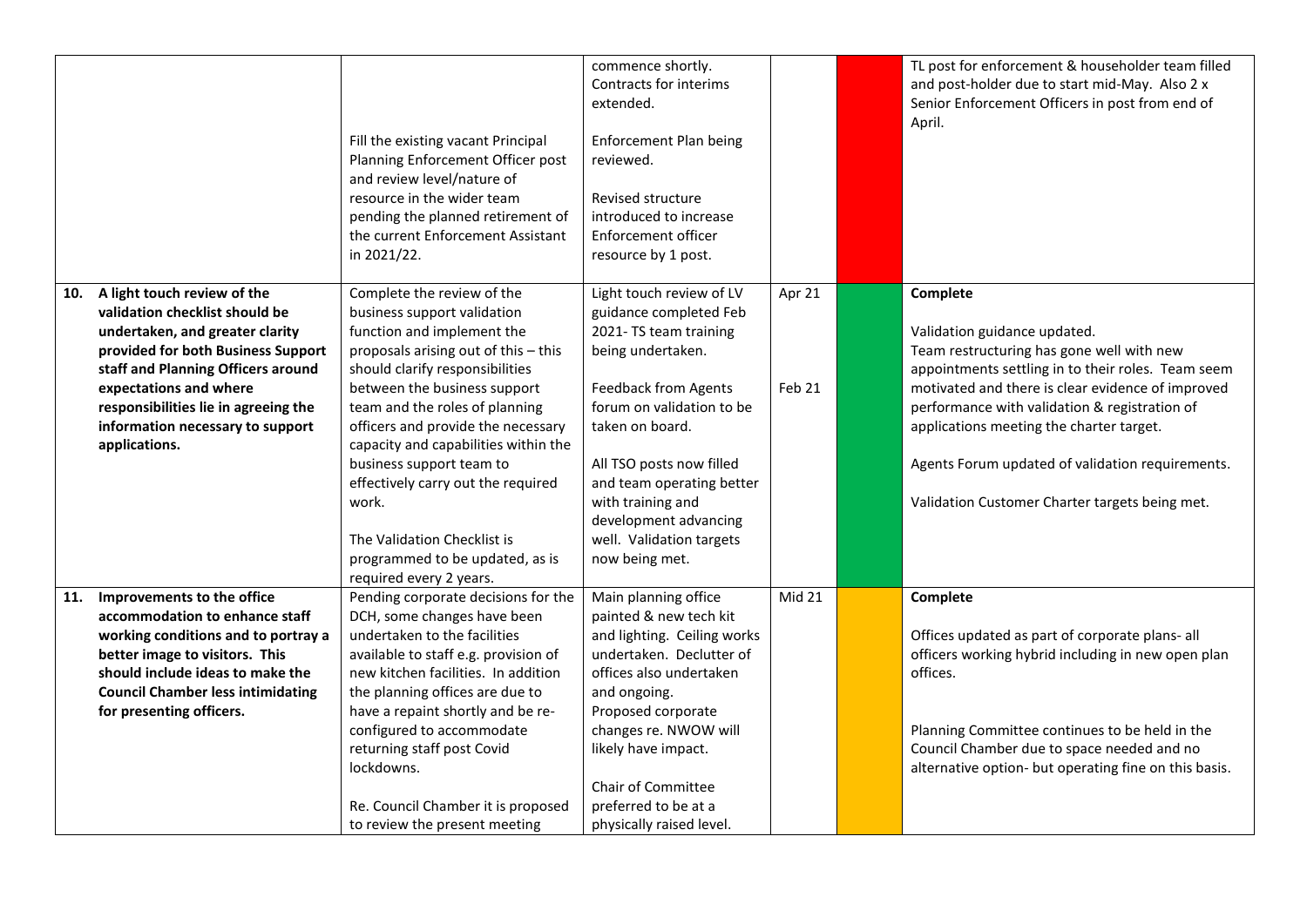|     |                                                                                                                                                                                                                                                                                                     | Fill the existing vacant Principal<br>Planning Enforcement Officer post<br>and review level/nature of<br>resource in the wider team<br>pending the planned retirement of<br>the current Enforcement Assistant<br>in 2021/22.                                                                                                                                                                                                                                                               | commence shortly.<br>Contracts for interims<br>extended.<br><b>Enforcement Plan being</b><br>reviewed.<br>Revised structure<br>introduced to increase<br>Enforcement officer<br>resource by 1 post.                                                                                                                                   |                  | TL post for enforcement & householder team filled<br>and post-holder due to start mid-May. Also 2 x<br>Senior Enforcement Officers in post from end of<br>April.                                                                                                                                                                                                                                    |
|-----|-----------------------------------------------------------------------------------------------------------------------------------------------------------------------------------------------------------------------------------------------------------------------------------------------------|--------------------------------------------------------------------------------------------------------------------------------------------------------------------------------------------------------------------------------------------------------------------------------------------------------------------------------------------------------------------------------------------------------------------------------------------------------------------------------------------|---------------------------------------------------------------------------------------------------------------------------------------------------------------------------------------------------------------------------------------------------------------------------------------------------------------------------------------|------------------|-----------------------------------------------------------------------------------------------------------------------------------------------------------------------------------------------------------------------------------------------------------------------------------------------------------------------------------------------------------------------------------------------------|
| 10. | A light touch review of the<br>validation checklist should be<br>undertaken, and greater clarity<br>provided for both Business Support<br>staff and Planning Officers around<br>expectations and where<br>responsibilities lie in agreeing the<br>information necessary to support<br>applications. | Complete the review of the<br>business support validation<br>function and implement the<br>proposals arising out of this - this<br>should clarify responsibilities<br>between the business support<br>team and the roles of planning<br>officers and provide the necessary<br>capacity and capabilities within the<br>business support team to<br>effectively carry out the required<br>work.<br>The Validation Checklist is<br>programmed to be updated, as is<br>required every 2 years. | Light touch review of LV<br>guidance completed Feb<br>2021- TS team training<br>being undertaken.<br><b>Feedback from Agents</b><br>forum on validation to be<br>taken on board.<br>All TSO posts now filled<br>and team operating better<br>with training and<br>development advancing<br>well. Validation targets<br>now being met. | Apr 21<br>Feb 21 | Complete<br>Validation guidance updated.<br>Team restructuring has gone well with new<br>appointments settling in to their roles. Team seem<br>motivated and there is clear evidence of improved<br>performance with validation & registration of<br>applications meeting the charter target.<br>Agents Forum updated of validation requirements.<br>Validation Customer Charter targets being met. |
| 11. | Improvements to the office<br>accommodation to enhance staff<br>working conditions and to portray a<br>better image to visitors. This<br>should include ideas to make the<br><b>Council Chamber less intimidating</b><br>for presenting officers.                                                   | Pending corporate decisions for the<br>DCH, some changes have been<br>undertaken to the facilities<br>available to staff e.g. provision of<br>new kitchen facilities. In addition<br>the planning offices are due to<br>have a repaint shortly and be re-<br>configured to accommodate<br>returning staff post Covid<br>lockdowns.<br>Re. Council Chamber it is proposed<br>to review the present meeting                                                                                  | Main planning office<br>painted & new tech kit<br>and lighting. Ceiling works<br>undertaken. Declutter of<br>offices also undertaken<br>and ongoing.<br>Proposed corporate<br>changes re. NWOW will<br>likely have impact.<br>Chair of Committee<br>preferred to be at a<br>physically raised level.                                  | Mid 21           | Complete<br>Offices updated as part of corporate plans- all<br>officers working hybrid including in new open plan<br>offices.<br>Planning Committee continues to be held in the<br>Council Chamber due to space needed and no<br>alternative option- but operating fine on this basis.                                                                                                              |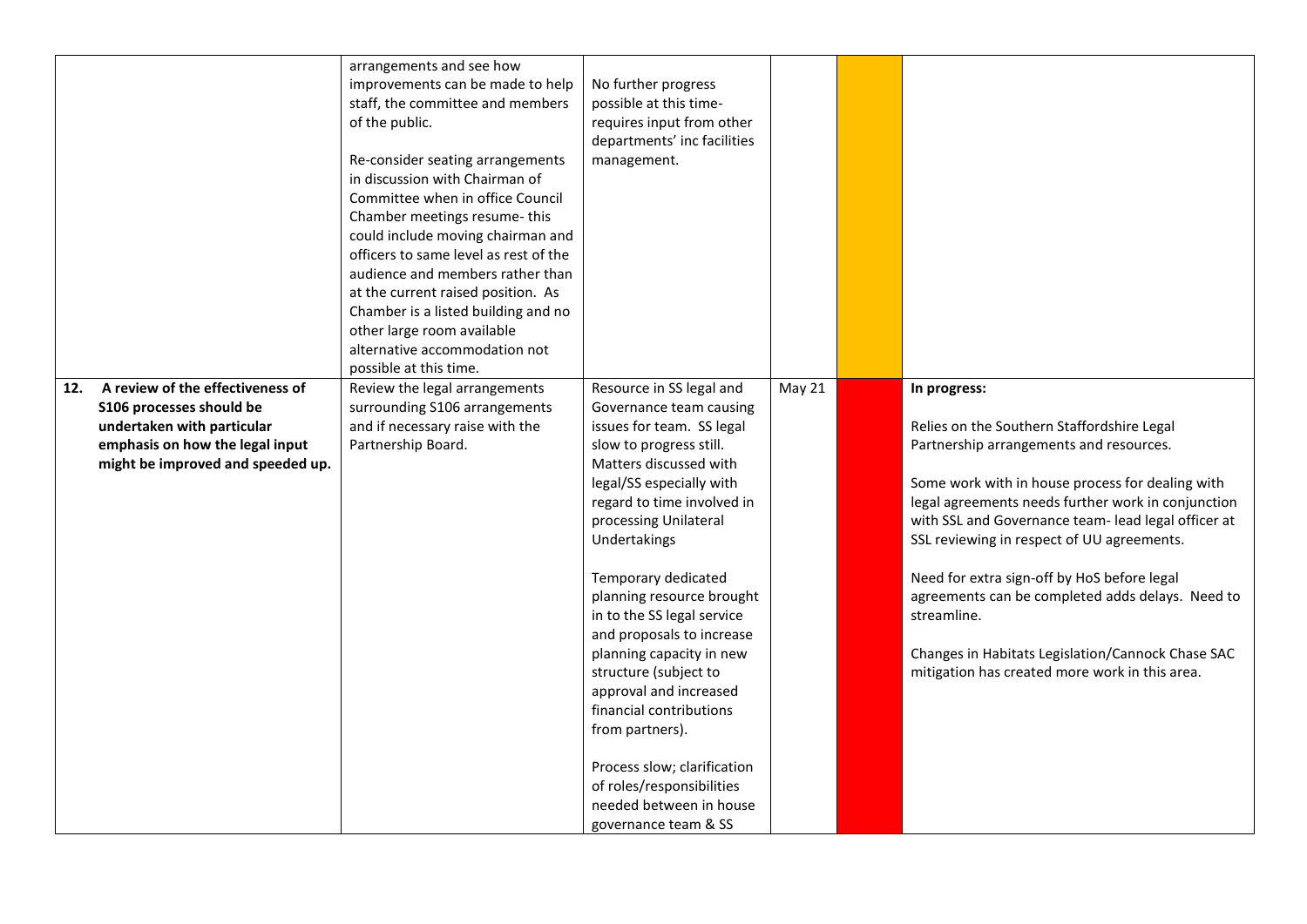|     | A review of the effectiveness of                                                                                               | arrangements and see how<br>improvements can be made to help<br>staff, the committee and members<br>of the public.<br>Re-consider seating arrangements<br>in discussion with Chairman of<br>Committee when in office Council<br>Chamber meetings resume-this<br>could include moving chairman and<br>officers to same level as rest of the<br>audience and members rather than<br>at the current raised position. As<br>Chamber is a listed building and no<br>other large room available<br>alternative accommodation not<br>possible at this time. | No further progress<br>possible at this time-<br>requires input from other<br>departments' inc facilities<br>management.                                                                                                                                                                                                                                                                                                                                                                                                                                                                            |        |                                                                                                                                                                                                                                                                                                                                                                                                                                                                                                                                               |
|-----|--------------------------------------------------------------------------------------------------------------------------------|------------------------------------------------------------------------------------------------------------------------------------------------------------------------------------------------------------------------------------------------------------------------------------------------------------------------------------------------------------------------------------------------------------------------------------------------------------------------------------------------------------------------------------------------------|-----------------------------------------------------------------------------------------------------------------------------------------------------------------------------------------------------------------------------------------------------------------------------------------------------------------------------------------------------------------------------------------------------------------------------------------------------------------------------------------------------------------------------------------------------------------------------------------------------|--------|-----------------------------------------------------------------------------------------------------------------------------------------------------------------------------------------------------------------------------------------------------------------------------------------------------------------------------------------------------------------------------------------------------------------------------------------------------------------------------------------------------------------------------------------------|
| 12. | S106 processes should be<br>undertaken with particular<br>emphasis on how the legal input<br>might be improved and speeded up. | Review the legal arrangements<br>surrounding S106 arrangements<br>and if necessary raise with the<br>Partnership Board.                                                                                                                                                                                                                                                                                                                                                                                                                              | Resource in SS legal and<br>Governance team causing<br>issues for team. SS legal<br>slow to progress still.<br>Matters discussed with<br>legal/SS especially with<br>regard to time involved in<br>processing Unilateral<br>Undertakings<br>Temporary dedicated<br>planning resource brought<br>in to the SS legal service<br>and proposals to increase<br>planning capacity in new<br>structure (subject to<br>approval and increased<br>financial contributions<br>from partners).<br>Process slow; clarification<br>of roles/responsibilities<br>needed between in house<br>governance team & SS | May 21 | In progress:<br>Relies on the Southern Staffordshire Legal<br>Partnership arrangements and resources.<br>Some work with in house process for dealing with<br>legal agreements needs further work in conjunction<br>with SSL and Governance team- lead legal officer at<br>SSL reviewing in respect of UU agreements.<br>Need for extra sign-off by HoS before legal<br>agreements can be completed adds delays. Need to<br>streamline.<br>Changes in Habitats Legislation/Cannock Chase SAC<br>mitigation has created more work in this area. |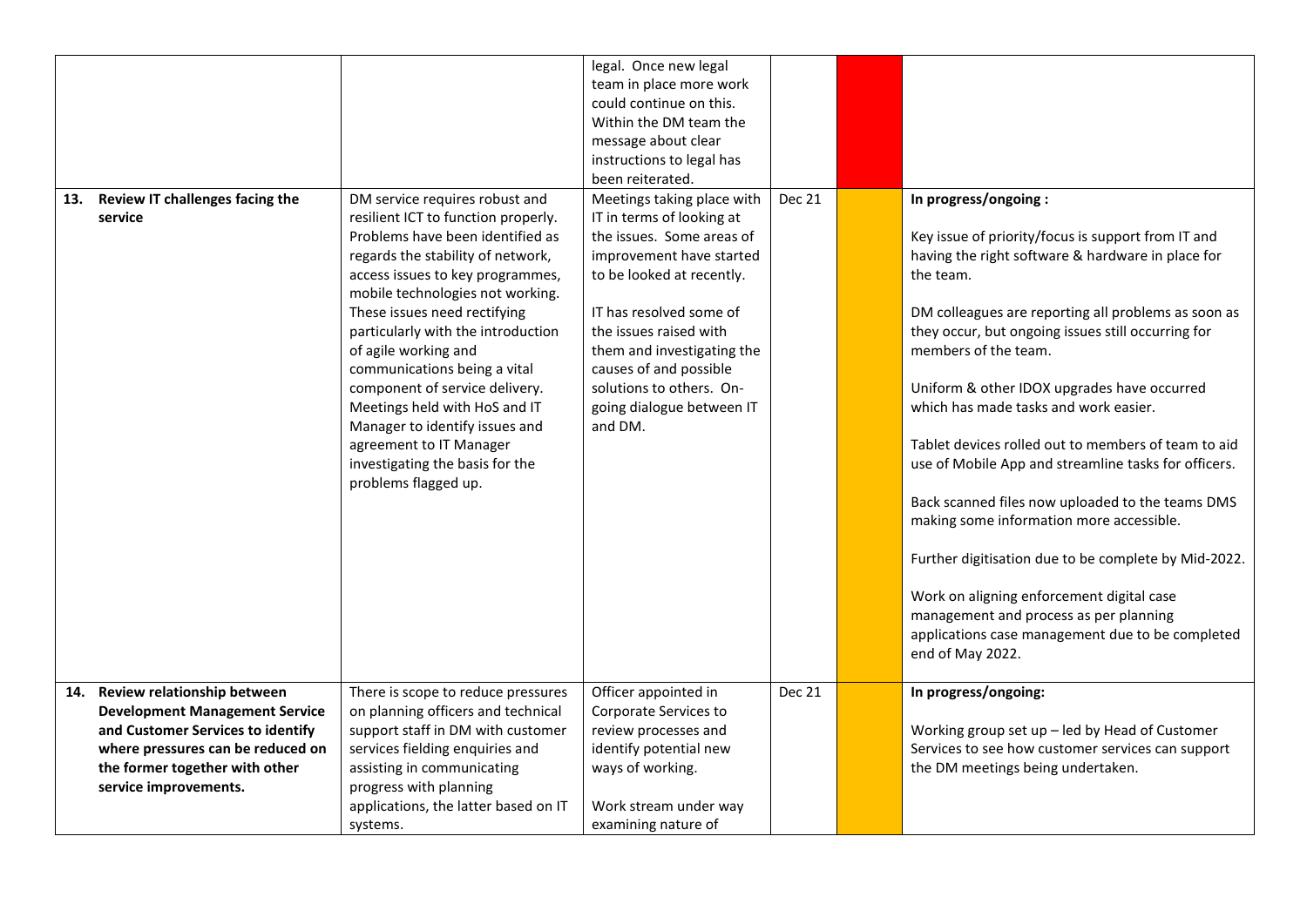| 13. | Review IT challenges facing the<br>service                                                                                                                                 | DM service requires robust and<br>resilient ICT to function properly.<br>Problems have been identified as<br>regards the stability of network,<br>access issues to key programmes,<br>mobile technologies not working.<br>These issues need rectifying<br>particularly with the introduction<br>of agile working and<br>communications being a vital<br>component of service delivery.<br>Meetings held with HoS and IT<br>Manager to identify issues and<br>agreement to IT Manager<br>investigating the basis for the<br>problems flagged up. | legal. Once new legal<br>team in place more work<br>could continue on this.<br>Within the DM team the<br>message about clear<br>instructions to legal has<br>been reiterated.<br>Meetings taking place with<br>IT in terms of looking at<br>the issues. Some areas of<br>improvement have started<br>to be looked at recently.<br>IT has resolved some of<br>the issues raised with<br>them and investigating the<br>causes of and possible<br>solutions to others. On-<br>going dialogue between IT<br>and DM. | Dec 21 | In progress/ongoing:<br>Key issue of priority/focus is support from IT and<br>having the right software & hardware in place for<br>the team.<br>DM colleagues are reporting all problems as soon as<br>they occur, but ongoing issues still occurring for<br>members of the team.<br>Uniform & other IDOX upgrades have occurred<br>which has made tasks and work easier.<br>Tablet devices rolled out to members of team to aid<br>use of Mobile App and streamline tasks for officers.<br>Back scanned files now uploaded to the teams DMS<br>making some information more accessible.<br>Further digitisation due to be complete by Mid-2022.<br>Work on aligning enforcement digital case<br>management and process as per planning<br>applications case management due to be completed<br>end of May 2022. |
|-----|----------------------------------------------------------------------------------------------------------------------------------------------------------------------------|-------------------------------------------------------------------------------------------------------------------------------------------------------------------------------------------------------------------------------------------------------------------------------------------------------------------------------------------------------------------------------------------------------------------------------------------------------------------------------------------------------------------------------------------------|-----------------------------------------------------------------------------------------------------------------------------------------------------------------------------------------------------------------------------------------------------------------------------------------------------------------------------------------------------------------------------------------------------------------------------------------------------------------------------------------------------------------|--------|-----------------------------------------------------------------------------------------------------------------------------------------------------------------------------------------------------------------------------------------------------------------------------------------------------------------------------------------------------------------------------------------------------------------------------------------------------------------------------------------------------------------------------------------------------------------------------------------------------------------------------------------------------------------------------------------------------------------------------------------------------------------------------------------------------------------|
|     | Review relationship between                                                                                                                                                | There is scope to reduce pressures                                                                                                                                                                                                                                                                                                                                                                                                                                                                                                              | Officer appointed in                                                                                                                                                                                                                                                                                                                                                                                                                                                                                            | Dec 21 | In progress/ongoing:                                                                                                                                                                                                                                                                                                                                                                                                                                                                                                                                                                                                                                                                                                                                                                                            |
| 14. | <b>Development Management Service</b><br>and Customer Services to identify<br>where pressures can be reduced on<br>the former together with other<br>service improvements. | on planning officers and technical<br>support staff in DM with customer<br>services fielding enquiries and<br>assisting in communicating<br>progress with planning<br>applications, the latter based on IT<br>systems.                                                                                                                                                                                                                                                                                                                          | Corporate Services to<br>review processes and<br>identify potential new<br>ways of working.<br>Work stream under way<br>examining nature of                                                                                                                                                                                                                                                                                                                                                                     |        | Working group set up - led by Head of Customer<br>Services to see how customer services can support<br>the DM meetings being undertaken.                                                                                                                                                                                                                                                                                                                                                                                                                                                                                                                                                                                                                                                                        |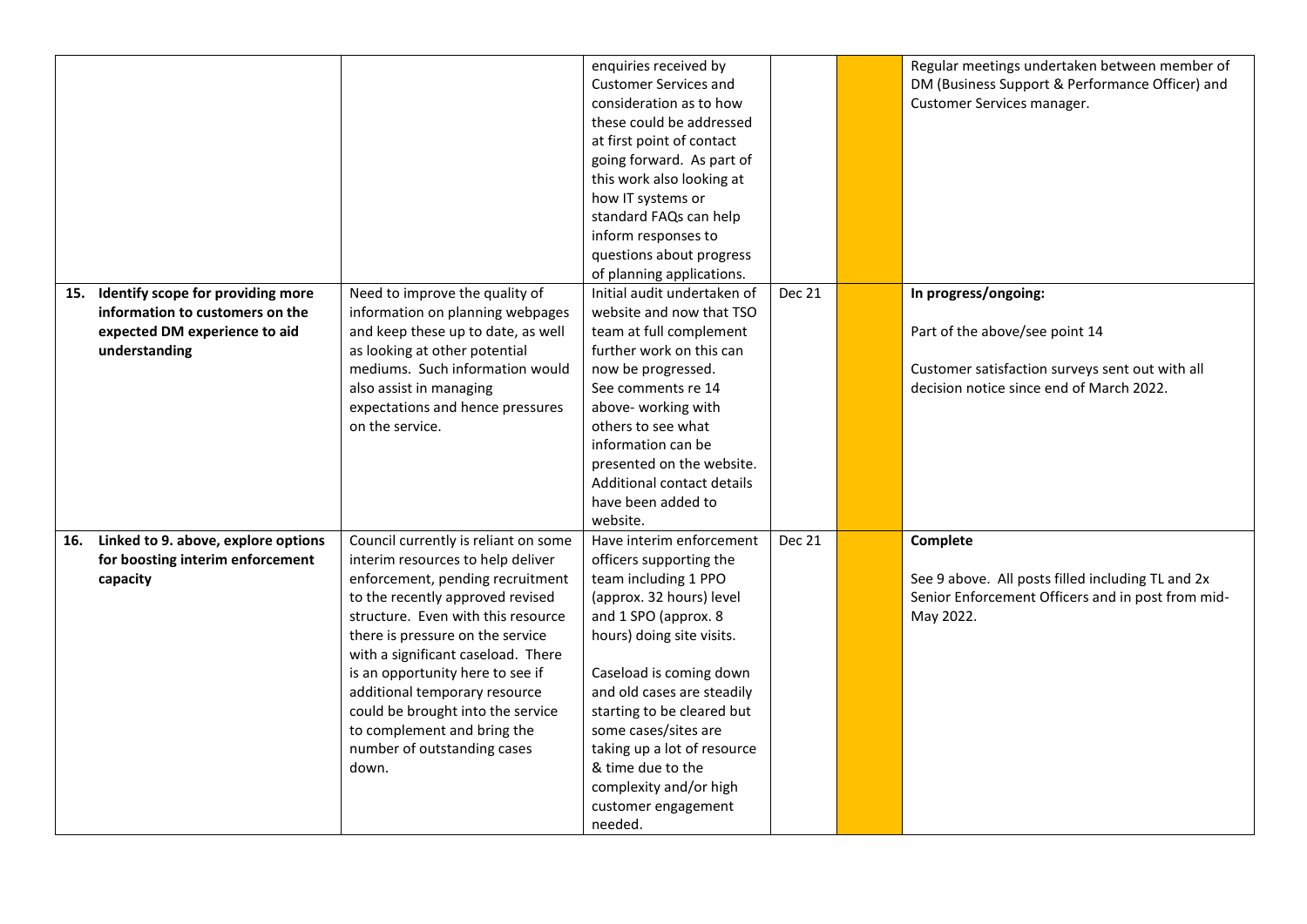|     |                                                                                                                        |                                                                                                                                                                                                                                                                                                                                                                                                                                                    | enquiries received by<br><b>Customer Services and</b><br>consideration as to how<br>these could be addressed<br>at first point of contact<br>going forward. As part of<br>this work also looking at<br>how IT systems or                                                                                                                                                                    |               | Regular meetings undertaken between member of<br>DM (Business Support & Performance Officer) and<br>Customer Services manager.                        |
|-----|------------------------------------------------------------------------------------------------------------------------|----------------------------------------------------------------------------------------------------------------------------------------------------------------------------------------------------------------------------------------------------------------------------------------------------------------------------------------------------------------------------------------------------------------------------------------------------|---------------------------------------------------------------------------------------------------------------------------------------------------------------------------------------------------------------------------------------------------------------------------------------------------------------------------------------------------------------------------------------------|---------------|-------------------------------------------------------------------------------------------------------------------------------------------------------|
|     |                                                                                                                        |                                                                                                                                                                                                                                                                                                                                                                                                                                                    | standard FAQs can help<br>inform responses to<br>questions about progress                                                                                                                                                                                                                                                                                                                   |               |                                                                                                                                                       |
| 15. | Identify scope for providing more<br>information to customers on the<br>expected DM experience to aid<br>understanding | Need to improve the quality of<br>information on planning webpages<br>and keep these up to date, as well<br>as looking at other potential<br>mediums. Such information would<br>also assist in managing<br>expectations and hence pressures<br>on the service.                                                                                                                                                                                     | of planning applications.<br>Initial audit undertaken of<br>website and now that TSO<br>team at full complement<br>further work on this can<br>now be progressed.<br>See comments re 14<br>above-working with<br>others to see what<br>information can be<br>presented on the website.<br>Additional contact details<br>have been added to<br>website.                                      | <b>Dec 21</b> | In progress/ongoing:<br>Part of the above/see point 14<br>Customer satisfaction surveys sent out with all<br>decision notice since end of March 2022. |
| 16. | Linked to 9. above, explore options<br>for boosting interim enforcement<br>capacity                                    | Council currently is reliant on some<br>interim resources to help deliver<br>enforcement, pending recruitment<br>to the recently approved revised<br>structure. Even with this resource<br>there is pressure on the service<br>with a significant caseload. There<br>is an opportunity here to see if<br>additional temporary resource<br>could be brought into the service<br>to complement and bring the<br>number of outstanding cases<br>down. | Have interim enforcement<br>officers supporting the<br>team including 1 PPO<br>(approx. 32 hours) level<br>and 1 SPO (approx. 8<br>hours) doing site visits.<br>Caseload is coming down<br>and old cases are steadily<br>starting to be cleared but<br>some cases/sites are<br>taking up a lot of resource<br>& time due to the<br>complexity and/or high<br>customer engagement<br>needed. | <b>Dec 21</b> | Complete<br>See 9 above. All posts filled including TL and 2x<br>Senior Enforcement Officers and in post from mid-<br>May 2022.                       |